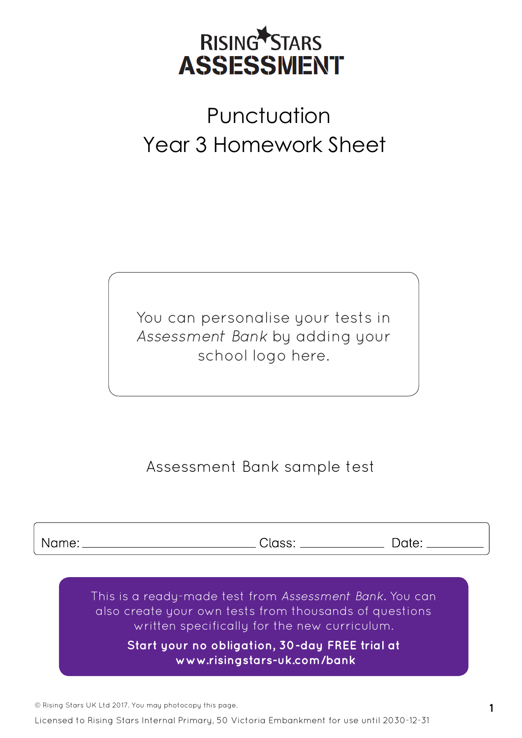

# **Punctuation** Year 3 Homework Sheet

You can personalise your tests in *Assessment Bank* by adding your school logo here.

## Assessment Bank sample test

Name:

Class: \_

Date:

This is a ready-made test from *Assessment Bank.* You can also create your own tests from thousands of questions written specifically for the new curriculum.

> **Start your no obligation, 30-day FREE trial at  [www.risingstars-uk.com/bank](http://www.risingstars-uk.com/bank)**

© Rising Stars UK Ltd 2017. You may photocopy this page. **1**

Licensed to Rising Stars Internal Primary, 50 Victoria Embankment for use until 2030-12-31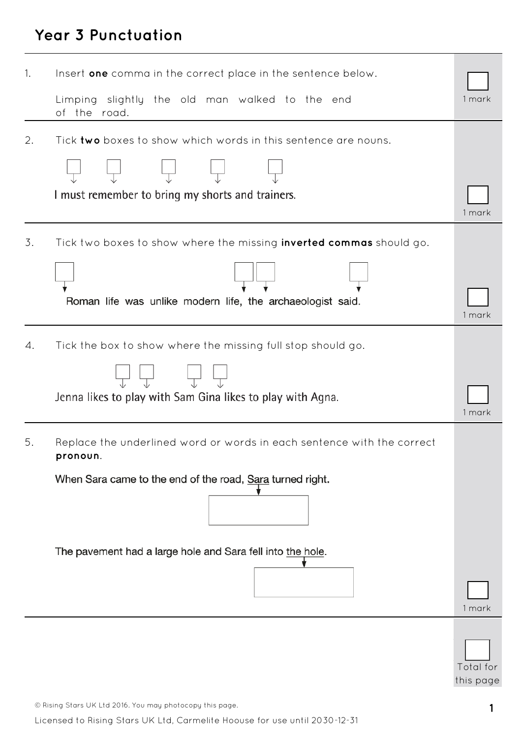## **Year 3 Punctuation**

| 1. | Insert one comma in the correct place in the sentence below.                                                                                    |           |
|----|-------------------------------------------------------------------------------------------------------------------------------------------------|-----------|
|    | Limping slightly the old man walked to the end<br>of the road.                                                                                  | 1 mark    |
| 2. | Tick two boxes to show which words in this sentence are nouns.<br>I must remember to bring my shorts and trainers.                              | 1 mark    |
| 3. | Tick two boxes to show where the missing <b>inverted commas</b> should go.<br>Roman life was unlike modern life, the archaeologist said.        | 1 mark    |
| 4. | Tick the box to show where the missing full stop should go.<br>Jenna likes to play with Sam Gina likes to play with Agna.                       | 1 mark    |
| 5. | Replace the underlined word or words in each sentence with the correct<br>pronoun.<br>When Sara came to the end of the road, Sara turned right. |           |
|    | The pavement had a large hole and Sara fell into the hole.                                                                                      | 1 mark    |
|    |                                                                                                                                                 | Total for |

this page

© Rising Stars UK Ltd 2016. You may photocopy this page. **1**

Licensed to Rising Stars UK Ltd, Carmelite Hoouse for use until 2030-12-31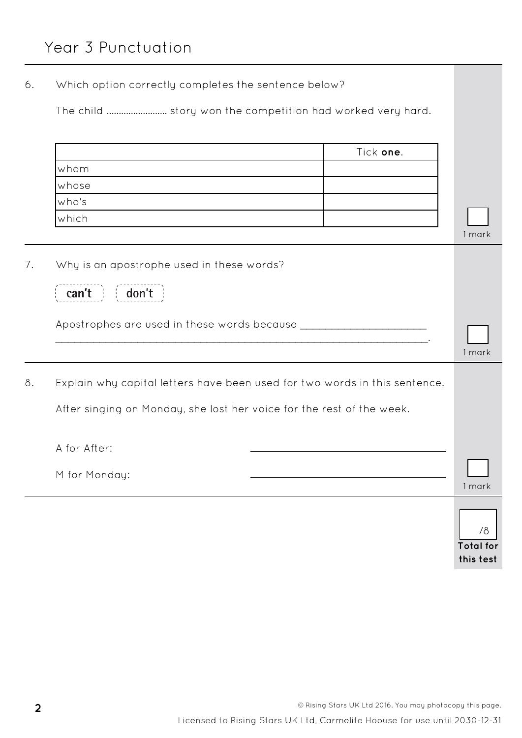6. Which option correctly completes the sentence below?

The child ......................... story won the competition had worked very hard.

|    |                                                                            | Tick one. |                  |
|----|----------------------------------------------------------------------------|-----------|------------------|
|    | whom                                                                       |           |                  |
|    | whose                                                                      |           |                  |
|    | who's                                                                      |           |                  |
|    | which                                                                      |           |                  |
|    |                                                                            |           | 1 mark           |
| 7. | Why is an apostrophe used in these words?                                  |           |                  |
|    | don't<br>can't                                                             |           |                  |
|    | Apostrophes are used in these words because _____________________          |           |                  |
|    |                                                                            |           | 1 mark           |
| 8. | Explain why capital letters have been used for two words in this sentence. |           |                  |
|    | After singing on Monday, she lost her voice for the rest of the week.      |           |                  |
|    | A for After:                                                               |           |                  |
|    | M for Monday:                                                              |           | 1 mark           |
|    |                                                                            |           |                  |
|    |                                                                            |           | /8               |
|    |                                                                            |           | <b>Total for</b> |
|    |                                                                            |           | this test        |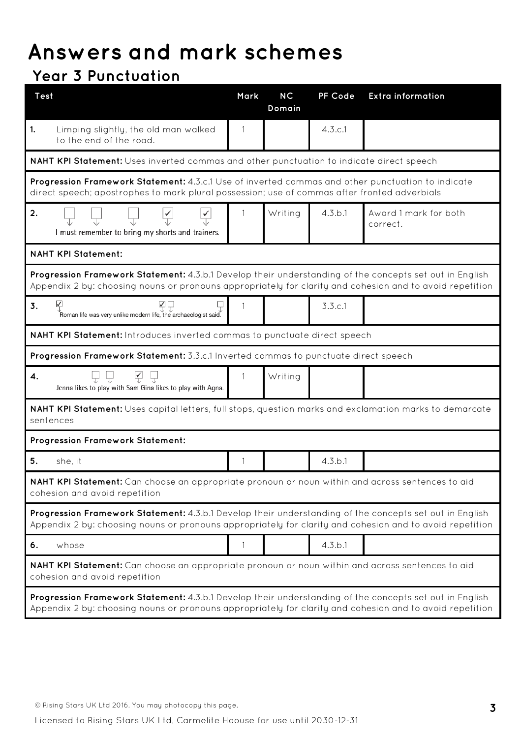## **Answers and mark schemes**

## **Year 3 Punctuation**

| <b>Test</b>                                                                                                                                                                                                         | Mark | <b>NC</b><br>Domain | PF Code | <b>Extra information</b>          |  |  |
|---------------------------------------------------------------------------------------------------------------------------------------------------------------------------------------------------------------------|------|---------------------|---------|-----------------------------------|--|--|
| 1.<br>Limping slightly, the old man walked<br>to the end of the road.                                                                                                                                               | 1    |                     | 4.3.c.1 |                                   |  |  |
| NAHT KPI Statement: Uses inverted commas and other punctuation to indicate direct speech                                                                                                                            |      |                     |         |                                   |  |  |
| Progression Framework Statement: 4.3.c.1 Use of inverted commas and other punctuation to indicate<br>direct speech; apostrophes to mark plural possession; use of commas after fronted adverbials                   |      |                     |         |                                   |  |  |
| 2.<br>$\frac{1}{\sqrt{2}}$<br>I must remember to bring my shorts and trainers.                                                                                                                                      |      | Writing             | 4.3.b.1 | Award 1 mark for both<br>correct. |  |  |
| <b>NAHT KPI Statement:</b>                                                                                                                                                                                          |      |                     |         |                                   |  |  |
| Progression Framework Statement: 4.3.b.1 Develop their understanding of the concepts set out in English<br>Appendix 2 by: choosing nouns or pronouns appropriately for clarity and cohesion and to avoid repetition |      |                     |         |                                   |  |  |
| $\sqrt{}$<br>$\Box \Box$<br>3.<br>$\overline{\mathbb{F}}$ Roman life was very unlike modern life, the archaeologist said.                                                                                           | 1    |                     | 3.3.c.1 |                                   |  |  |
| <b>NAHT KPI Statement:</b> Introduces inverted commas to punctuate direct speech                                                                                                                                    |      |                     |         |                                   |  |  |
| Progression Framework Statement: 3.3.c.1 Inverted commas to punctuate direct speech                                                                                                                                 |      |                     |         |                                   |  |  |
| $\sqrt{ }$<br>4.<br>Jenna likes to play with Sam Gina likes to play with Agna.                                                                                                                                      | 1    | Writing             |         |                                   |  |  |
| NAHT KPI Statement: Uses capital letters, full stops, question marks and exclamation marks to demarcate<br>sentences                                                                                                |      |                     |         |                                   |  |  |
| <b>Progression Framework Statement:</b>                                                                                                                                                                             |      |                     |         |                                   |  |  |
| 5.<br>she, it                                                                                                                                                                                                       | 1    |                     | 4.3.b.1 |                                   |  |  |
| NAHT KPI Statement: Can choose an appropriate pronoun or noun within and across sentences to aid<br>cohesion and avoid repetition                                                                                   |      |                     |         |                                   |  |  |
| Progression Framework Statement: 4.3.b.1 Develop their understanding of the concepts set out in English<br>Appendix 2 by: choosing nouns or pronouns appropriately for clarity and cohesion and to avoid repetition |      |                     |         |                                   |  |  |
| whose<br>6.                                                                                                                                                                                                         | 1    |                     | 4.3.b.1 |                                   |  |  |
| NAHT KPI Statement: Can choose an appropriate pronoun or noun within and across sentences to aid<br>cohesion and avoid repetition                                                                                   |      |                     |         |                                   |  |  |
| Progression Framework Statement: 4.3.b.1 Develop their understanding of the concepts set out in English<br>Appendix 2 by: choosing nouns or pronouns appropriately for clarity and cohesion and to avoid repetition |      |                     |         |                                   |  |  |

Licensed to Rising Stars UK Ltd, Carmelite Hoouse for use until 2030-12-31